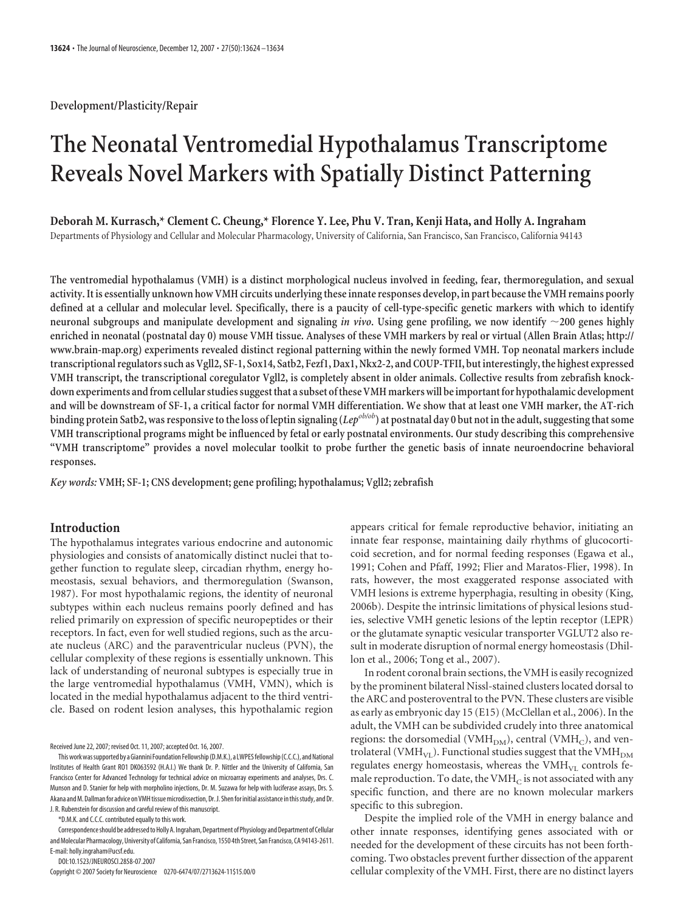**Development/Plasticity/Repair**

# **The Neonatal Ventromedial Hypothalamus Transcriptome Reveals Novel Markers with Spatially Distinct Patterning**

**Deborah M. Kurrasch,\* Clement C. Cheung,\* Florence Y. Lee, Phu V. Tran, Kenji Hata, and Holly A. Ingraham** Departments of Physiology and Cellular and Molecular Pharmacology, University of California, San Francisco, San Francisco, California 94143

**The ventromedial hypothalamus (VMH) is a distinct morphological nucleus involved in feeding, fear, thermoregulation, and sexual activity. It is essentially unknown how VMH circuits underlyingthese innate responses develop, in part becausethe VMH remains poorly defined at a cellular and molecular level. Specifically, there is a paucity of cell-type-specific genetic markers with which to identify neuronal subgroups and manipulate development and signaling** *in vivo***. Using gene profiling, we now identify 200 genes highly enriched in neonatal (postnatal day 0) mouse VMH tissue. Analyses of these VMH markers by real or virtual (Allen Brain Atlas; http:// www.brain-map.org) experiments revealed distinct regional patterning within the newly formed VMH. Top neonatal markers include transcriptional regulators such as Vgll2, SF-1, Sox14, Satb2, Fezf1, Dax1, Nkx2-2, and COUP-TFII, but interestingly,the highest expressed VMH transcript, the transcriptional coregulator Vgll2, is completely absent in older animals. Collective results from zebrafish knock**down experiments and from cellular studies suggest that a subset of these VMH markers will be important for hypothalamic development **and will be downstream of SF-1, a critical factor for normal VMH differentiation. We show that at least one VMH marker, the AT-rich binding protein Satb2, was responsive to the loss of leptin signaling (***Lepob/ob***) at postnatal day 0 but not in the adult, suggesting that some VMH transcriptional programs might be influenced by fetal or early postnatal environments. Our study describing this comprehensive "VMH transcriptome" provides a novel molecular toolkit to probe further the genetic basis of innate neuroendocrine behavioral responses.**

*Key words:* **VMH; SF-1; CNS development; gene profiling; hypothalamus; Vgll2; zebrafish**

# **Introduction**

The hypothalamus integrates various endocrine and autonomic physiologies and consists of anatomically distinct nuclei that together function to regulate sleep, circadian rhythm, energy homeostasis, sexual behaviors, and thermoregulation (Swanson, 1987). For most hypothalamic regions, the identity of neuronal subtypes within each nucleus remains poorly defined and has relied primarily on expression of specific neuropeptides or their receptors. In fact, even for well studied regions, such as the arcuate nucleus (ARC) and the paraventricular nucleus (PVN), the cellular complexity of these regions is essentially unknown. This lack of understanding of neuronal subtypes is especially true in the large ventromedial hypothalamus (VMH, VMN), which is located in the medial hypothalamus adjacent to the third ventricle. Based on rodent lesion analyses, this hypothalamic region

Received June 22, 2007; revised Oct. 11, 2007; accepted Oct. 16, 2007.

\*D.M.K. and C.C.C. contributed equally to this work.

Correspondence should be addressed to Holly A. Ingraham, Department of Physiology and Department of Cellular andMolecular Pharmacology,University of California, San Francisco, 1550 4th Street, San Francisco, CA 94143-2611. E-mail: holly.ingraham@ucsf.edu.

DOI:10.1523/JNEUROSCI.2858-07.2007

Copyright © 2007 Society for Neuroscience 0270-6474/07/2713624-11\$15.00/0

appears critical for female reproductive behavior, initiating an innate fear response, maintaining daily rhythms of glucocorticoid secretion, and for normal feeding responses (Egawa et al., 1991; Cohen and Pfaff, 1992; Flier and Maratos-Flier, 1998). In rats, however, the most exaggerated response associated with VMH lesions is extreme hyperphagia, resulting in obesity (King, 2006b). Despite the intrinsic limitations of physical lesions studies, selective VMH genetic lesions of the leptin receptor (LEPR) or the glutamate synaptic vesicular transporter VGLUT2 also result in moderate disruption of normal energy homeostasis (Dhillon et al., 2006; Tong et al., 2007).

In rodent coronal brain sections, the VMH is easily recognized by the prominent bilateral Nissl-stained clusters located dorsal to the ARC and posteroventral to the PVN. These clusters are visible as early as embryonic day 15 (E15) (McClellan et al., 2006). In the adult, the VMH can be subdivided crudely into three anatomical regions: the dorsomedial (VMH<sub>DM</sub>), central (VMH<sub>C</sub>), and ventrolateral (VMH $_{\rm VL}$ ). Functional studies suggest that the VMH $_{\rm DM}$ regulates energy homeostasis, whereas the  $VMH_{VL}$  controls female reproduction. To date, the  $VMH_C$  is not associated with any specific function, and there are no known molecular markers specific to this subregion.

Despite the implied role of the VMH in energy balance and other innate responses, identifying genes associated with or needed for the development of these circuits has not been forthcoming. Two obstacles prevent further dissection of the apparent cellular complexity of the VMH. First, there are no distinct layers

This work was supported by a Giannini Foundation Fellowship (D.M.K.), a LWPES fellowship (C.C.C.), and National Institutes of Health Grant RO1 DK063592 (H.A.I.) We thank Dr. P. Nittler and the University of California, San Francisco Center for Advanced Technology for technical advice on microarray experiments and analyses, Drs. C. Munson and D. Stanier for help with morpholino injections, Dr. M. Suzawa for help with luciferase assays, Drs. S. Akana and M. Dallman for advice on VMH tissue microdissection, Dr. J. Shen for initial assistance in this study, and Dr. J. R. Rubenstein for discussion and careful review of this manuscript.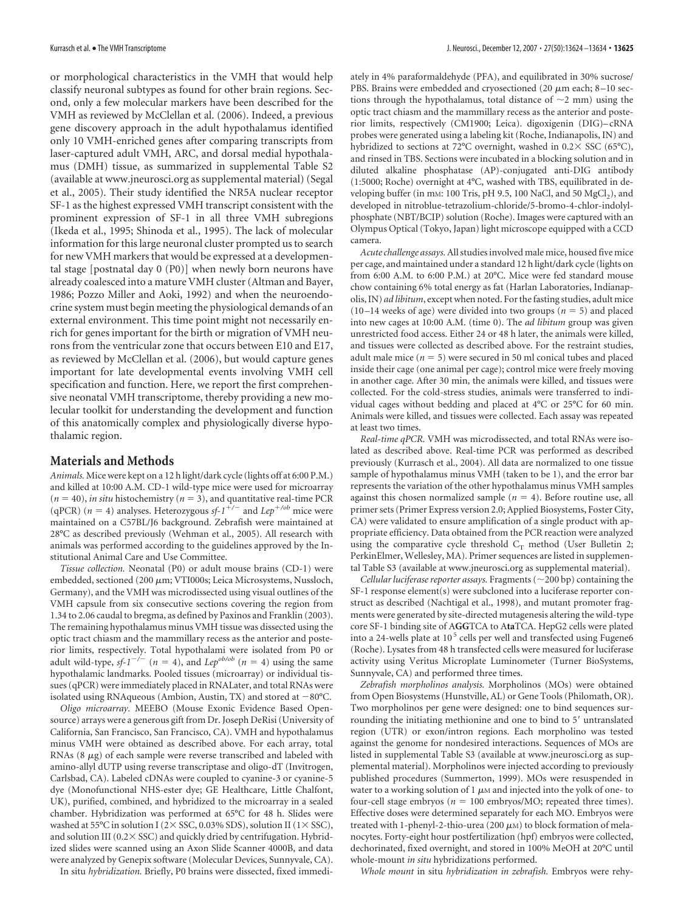or morphological characteristics in the VMH that would help classify neuronal subtypes as found for other brain regions. Second, only a few molecular markers have been described for the VMH as reviewed by McClellan et al. (2006). Indeed, a previous gene discovery approach in the adult hypothalamus identified only 10 VMH-enriched genes after comparing transcripts from laser-captured adult VMH, ARC, and dorsal medial hypothalamus (DMH) tissue, as summarized in supplemental Table S2 (available at www.jneurosci.org as supplemental material) (Segal et al., 2005). Their study identified the NR5A nuclear receptor SF-1 as the highest expressed VMH transcript consistent with the prominent expression of SF-1 in all three VMH subregions (Ikeda et al., 1995; Shinoda et al., 1995). The lack of molecular information for this large neuronal cluster prompted us to search for new VMH markers that would be expressed at a developmental stage [postnatal day 0 (P0)] when newly born neurons have already coalesced into a mature VMH cluster (Altman and Bayer, 1986; Pozzo Miller and Aoki, 1992) and when the neuroendocrine system must begin meeting the physiological demands of an external environment. This time point might not necessarily enrich for genes important for the birth or migration of VMH neurons from the ventricular zone that occurs between E10 and E17, as reviewed by McClellan et al. (2006), but would capture genes important for late developmental events involving VMH cell specification and function. Here, we report the first comprehensive neonatal VMH transcriptome, thereby providing a new molecular toolkit for understanding the development and function of this anatomically complex and physiologically diverse hypothalamic region.

## **Materials and Methods**

*Animals.* Mice were kept on a 12 h light/dark cycle (lights off at 6:00 P.M.) and killed at 10:00 A.M. CD-1 wild-type mice were used for microarray  $(n = 40)$ , *in situ* histochemistry  $(n = 3)$ , and quantitative real-time PCR (qPCR) ( $n = 4$ ) analyses. Heterozygous *sf-1<sup>+/-</sup>* and *Lep<sup>+/ob</sup>* mice were maintained on a C57BL/J6 background. Zebrafish were maintained at 28°C as described previously (Wehman et al., 2005). All research with animals was performed according to the guidelines approved by the Institutional Animal Care and Use Committee.

*Tissue collection.* Neonatal (P0) or adult mouse brains (CD-1) were embedded, sectioned (200 µm; VTI000s; Leica Microsystems, Nussloch, Germany), and the VMH was microdissected using visual outlines of the VMH capsule from six consecutive sections covering the region from 1.34 to 2.06 caudal to bregma, as defined by Paxinos and Franklin (2003). The remaining hypothalamus minus VMH tissue was dissected using the optic tract chiasm and the mammillary recess as the anterior and posterior limits, respectively. Total hypothalami were isolated from P0 or adult wild-type,  $sf_1^{-/}$  ( $n = 4$ ), and  $Lep^{ob/ob}$  ( $n = 4$ ) using the same hypothalamic landmarks. Pooled tissues (microarray) or individual tissues (qPCR) were immediately placed in RNALater, and total RNAs were isolated using RNAqueous (Ambion, Austin, TX) and stored at  $-80^{\circ}$ C.

*Oligo microarray.* MEEBO (Mouse Exonic Evidence Based Opensource) arrays were a generous gift from Dr. Joseph DeRisi (University of California, San Francisco, San Francisco, CA). VMH and hypothalamus minus VMH were obtained as described above. For each array, total RNAs  $(8 \mu g)$  of each sample were reverse transcribed and labeled with amino-allyl dUTP using reverse transcriptase and oligo-dT (Invitrogen, Carlsbad, CA). Labeled cDNAs were coupled to cyanine-3 or cyanine-5 dye (Monofunctional NHS-ester dye; GE Healthcare, Little Chalfont, UK), purified, combined, and hybridized to the microarray in a sealed chamber. Hybridization was performed at 65°C for 48 h. Slides were washed at 55°C in solution I ( $2 \times$  SSC, 0.03% SDS), solution II ( $1 \times$  SSC), and solution III ( $0.2 \times$  SSC) and quickly dried by centrifugation. Hybridized slides were scanned using an Axon Slide Scanner 4000B, and data were analyzed by Genepix software (Molecular Devices, Sunnyvale, CA).

In situ *hybridization.* Briefly, P0 brains were dissected, fixed immedi-

ately in 4% paraformaldehyde (PFA), and equilibrated in 30% sucrose/ PBS. Brains were embedded and cryosectioned (20  $\mu$ m each; 8-10 sections through the hypothalamus, total distance of  $\sim$ 2 mm) using the optic tract chiasm and the mammillary recess as the anterior and posterior limits, respectively (CM1900; Leica). digoxigenin (DIG)– cRNA probes were generated using a labeling kit (Roche, Indianapolis, IN) and hybridized to sections at 72°C overnight, washed in  $0.2 \times$  SSC (65°C), and rinsed in TBS. Sections were incubated in a blocking solution and in diluted alkaline phosphatase (AP)-conjugated anti-DIG antibody (1:5000; Roche) overnight at 4°C, washed with TBS, equilibrated in developing buffer (in mm: 100 Tris, pH 9.5, 100 NaCl, and 50 MgCl<sub>2</sub>), and developed in nitroblue-tetrazolium-chloride/5-bromo-4-chlor-indolylphosphate (NBT/BCIP) solution (Roche). Images were captured with an Olympus Optical (Tokyo, Japan) light microscope equipped with a CCD camera.

*Acute challenge assays.*All studies involved male mice, housed five mice per cage, and maintained under a standard 12 h light/dark cycle (lights on from 6:00 A.M. to 6:00 P.M.) at 20°C. Mice were fed standard mouse chow containing 6% total energy as fat (Harlan Laboratories, Indianapolis, IN) *ad libitum*, except when noted. For the fasting studies, adult mice  $(10-14$  weeks of age) were divided into two groups ( $n = 5$ ) and placed into new cages at 10:00 A.M. (time 0). The *ad libitum* group was given unrestricted food access. Either 24 or 48 h later, the animals were killed, and tissues were collected as described above. For the restraint studies, adult male mice  $(n = 5)$  were secured in 50 ml conical tubes and placed inside their cage (one animal per cage); control mice were freely moving in another cage. After 30 min, the animals were killed, and tissues were collected. For the cold-stress studies, animals were transferred to individual cages without bedding and placed at 4°C or 25°C for 60 min. Animals were killed, and tissues were collected. Each assay was repeated at least two times.

*Real-time qPCR.* VMH was microdissected, and total RNAs were isolated as described above. Real-time PCR was performed as described previously (Kurrasch et al., 2004). All data are normalized to one tissue sample of hypothalamus minus VMH (taken to be 1), and the error bar represents the variation of the other hypothalamus minus VMH samples against this chosen normalized sample  $(n = 4)$ . Before routine use, all primer sets (Primer Express version 2.0; Applied Biosystems, Foster City, CA) were validated to ensure amplification of a single product with appropriate efficiency. Data obtained from the PCR reaction were analyzed using the comparative cycle threshold  $C_T$  method (User Bulletin 2; PerkinElmer, Wellesley, MA). Primer sequences are listed in supplemental Table S3 (available at www.jneurosci.org as supplemental material).

*Cellular luciferase reporter assays.* Fragments  $(\sim 200$  bp) containing the SF-1 response element(s) were subcloned into a luciferase reporter construct as described (Nachtigal et al., 1998), and mutant promoter fragments were generated by site-directed mutagenesis altering the wild-type core SF-1 binding site of A**GG**TCA to A**ta**TCA. HepG2 cells were plated into a 24-wells plate at  $10<sup>5</sup>$  cells per well and transfected using Fugene6 (Roche). Lysates from 48 h transfected cells were measured for luciferase activity using Veritus Microplate Luminometer (Turner BioSystems, Sunnyvale, CA) and performed three times.

*Zebrafish morpholinos analysis.* Morpholinos (MOs) were obtained from Open Biosystems (Hunstville, AL) or Gene Tools (Philomath, OR). Two morpholinos per gene were designed: one to bind sequences surrounding the initiating methionine and one to bind to 5' untranslated region (UTR) or exon/intron regions. Each morpholino was tested against the genome for nondesired interactions. Sequences of MOs are listed in supplemental Table S3 (available at www.jneurosci.org as supplemental material). Morpholinos were injected according to previously published procedures (Summerton, 1999). MOs were resuspended in water to a working solution of  $1 \mu$ M and injected into the yolk of one- to four-cell stage embryos ( $n = 100$  embryos/MO; repeated three times). Effective doses were determined separately for each MO. Embryos were treated with 1-phenyl-2-thio-urea (200  $\mu$ M) to block formation of melanocytes. Forty-eight hour postfertilization (hpf) embryos were collected, dechorinated, fixed overnight, and stored in 100% MeOH at 20°C until whole-mount *in situ* hybridizations performed.

*Whole mount* in situ *hybridization in zebrafish.* Embryos were rehy-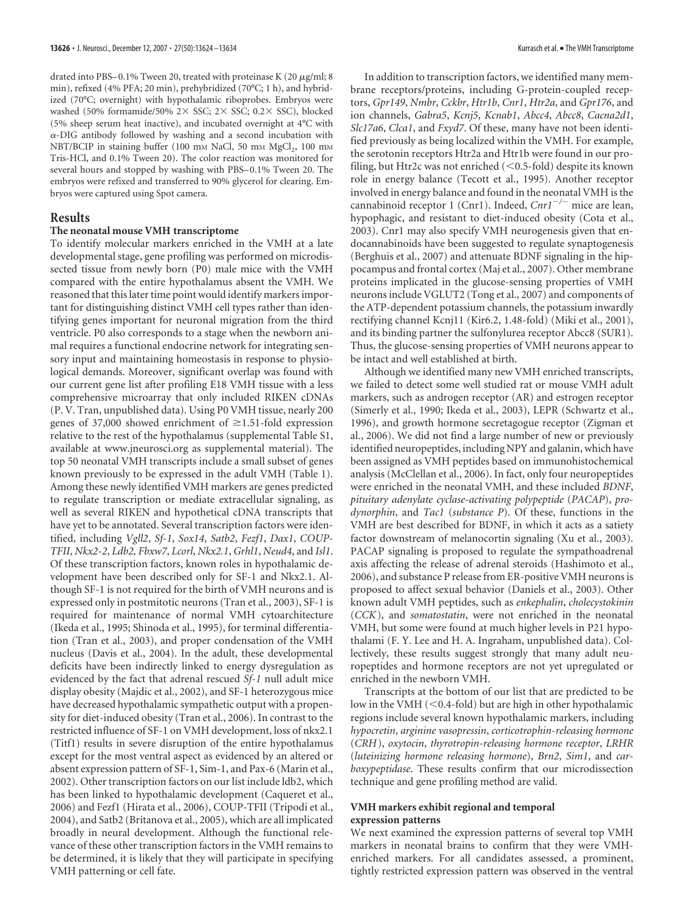drated into PBS–0.1% Tween 20, treated with proteinase K (20  $\mu$ g/ml; 8 min), refixed (4% PFA; 20 min), prehybridized (70°C; 1 h), and hybridized (70°C; overnight) with hypothalamic riboprobes. Embryos were washed (50% formamide/50%  $2 \times$  SSC;  $2 \times$  SSC; 0.2 $\times$  SSC), blocked (5% sheep serum heat inactive), and incubated overnight at 4°C with --DIG antibody followed by washing and a second incubation with NBT/BCIP in staining buffer (100 mm NaCl, 50 mm MgCl<sub>2</sub>, 100 mm Tris-HCl, and 0.1% Tween 20). The color reaction was monitored for several hours and stopped by washing with PBS-0.1% Tween 20. The embryos were refixed and transferred to 90% glycerol for clearing. Embryos were captured using Spot camera.

#### **Results**

#### **The neonatal mouse VMH transcriptome**

To identify molecular markers enriched in the VMH at a late developmental stage, gene profiling was performed on microdissected tissue from newly born (P0) male mice with the VMH compared with the entire hypothalamus absent the VMH. We reasoned that this later time point would identify markers important for distinguishing distinct VMH cell types rather than identifying genes important for neuronal migration from the third ventricle. P0 also corresponds to a stage when the newborn animal requires a functional endocrine network for integrating sensory input and maintaining homeostasis in response to physiological demands. Moreover, significant overlap was found with our current gene list after profiling E18 VMH tissue with a less comprehensive microarray that only included RIKEN cDNAs (P. V. Tran, unpublished data). Using P0 VMH tissue, nearly 200 genes of 37,000 showed enrichment of  $\geq 1.51$ -fold expression relative to the rest of the hypothalamus (supplemental Table S1, available at www.jneurosci.org as supplemental material). The top 50 neonatal VMH transcripts include a small subset of genes known previously to be expressed in the adult VMH (Table 1). Among these newly identified VMH markers are genes predicted to regulate transcription or mediate extracellular signaling, as well as several RIKEN and hypothetical cDNA transcripts that have yet to be annotated. Several transcription factors were identified, including *Vgll2*, *Sf-1*, *Sox14*, *Satb2*, *Fezf1*, *Dax1*, *COUP-TFII*, *Nkx2-2*, *Ldb2, Fbxw7*, *Lcorl*, *Nkx2.1*, *Grhl1*, *Neud4*, and *Isl1*. Of these transcription factors, known roles in hypothalamic development have been described only for SF-1 and Nkx2.1. Although SF-1 is not required for the birth of VMH neurons and is expressed only in postmitotic neurons (Tran et al., 2003), SF-1 is required for maintenance of normal VMH cytoarchitecture (Ikeda et al., 1995; Shinoda et al., 1995), for terminal differentiation (Tran et al., 2003), and proper condensation of the VMH nucleus (Davis et al., 2004). In the adult, these developmental deficits have been indirectly linked to energy dysregulation as evidenced by the fact that adrenal rescued *Sf-1* null adult mice display obesity (Majdic et al., 2002), and SF-1 heterozygous mice have decreased hypothalamic sympathetic output with a propensity for diet-induced obesity (Tran et al., 2006). In contrast to the restricted influence of SF-1 on VMH development, loss of nkx2.1 (Titf1) results in severe disruption of the entire hypothalamus except for the most ventral aspect as evidenced by an altered or absent expression pattern of SF-1, Sim-1, and Pax-6 (Marin et al., 2002). Other transcription factors on our list include ldb2, which has been linked to hypothalamic development (Caqueret et al., 2006) and Fezf1 (Hirata et al., 2006), COUP-TFII (Tripodi et al., 2004), and Satb2 (Britanova et al., 2005), which are all implicated broadly in neural development. Although the functional relevance of these other transcription factors in the VMH remains to be determined, it is likely that they will participate in specifying VMH patterning or cell fate.

In addition to transcription factors, we identified many membrane receptors/proteins, including G-protein-coupled receptors, *Gpr149*, *Nmbr*, *Cckbr*, *Htr1b*, *Cnr1*, *Htr2a*, and *Gpr176*, and ion channels, *Gabra5*, *Kcnj5*, *Kcnab1*, *Abcc4*, *Abcc8*, *Cacna2d1*, *Slc17a6*, *Clca1*, and *Fxyd7*. Of these, many have not been identified previously as being localized within the VMH. For example, the serotonin receptors Htr2a and Htr1b were found in our profiling, but Htr2c was not enriched  $(<0.5$ -fold) despite its known role in energy balance (Tecott et al., 1995). Another receptor involved in energy balance and found in the neonatal VMH is the cannabinoid receptor 1 (Cnr1). Indeed,  $Cn r l^{-/-}$  mice are lean, hypophagic, and resistant to diet-induced obesity (Cota et al., 2003). Cnr1 may also specify VMH neurogenesis given that endocannabinoids have been suggested to regulate synaptogenesis (Berghuis et al., 2007) and attenuate BDNF signaling in the hippocampus and frontal cortex (Maj et al., 2007). Other membrane proteins implicated in the glucose-sensing properties of VMH neurons include VGLUT2 (Tong et al., 2007) and components of the ATP-dependent potassium channels, the potassium inwardly rectifying channel Kcnj11 (Kir6.2, 1.48-fold) (Miki et al., 2001), and its binding partner the sulfonylurea receptor Abcc8 (SUR1). Thus, the glucose-sensing properties of VMH neurons appear to be intact and well established at birth.

Although we identified many new VMH enriched transcripts, we failed to detect some well studied rat or mouse VMH adult markers, such as androgen receptor (AR) and estrogen receptor (Simerly et al., 1990; Ikeda et al., 2003), LEPR (Schwartz et al., 1996), and growth hormone secretagogue receptor (Zigman et al., 2006). We did not find a large number of new or previously identified neuropeptides, including NPY and galanin, which have been assigned as VMH peptides based on immunohistochemical analysis (McClellan et al., 2006). In fact, only four neuropeptides were enriched in the neonatal VMH, and these included *BDNF*, *pituitary adenylate cyclase-activating polypeptide* (*PACAP*), *prodynorphin*, and *Tac1* (*substance P*). Of these, functions in the VMH are best described for BDNF, in which it acts as a satiety factor downstream of melanocortin signaling (Xu et al., 2003). PACAP signaling is proposed to regulate the sympathoadrenal axis affecting the release of adrenal steroids (Hashimoto et al., 2006), and substance P release from ER-positive VMH neurons is proposed to affect sexual behavior (Daniels et al., 2003). Other known adult VMH peptides, such as *enkephalin*, *cholecystokinin* (*CCK*), and *somatostatin*, were not enriched in the neonatal VMH, but some were found at much higher levels in P21 hypothalami (F. Y. Lee and H. A. Ingraham, unpublished data). Collectively, these results suggest strongly that many adult neuropeptides and hormone receptors are not yet upregulated or enriched in the newborn VMH.

Transcripts at the bottom of our list that are predicted to be low in the VMH  $(< 0.4$ -fold) but are high in other hypothalamic regions include several known hypothalamic markers, including *hypocretin*, *arginine vasopressin*, *corticotrophin-releasing hormone* (*CRH*), *oxytocin*, *thyrotropin-releasing hormone receptor*, *LRHR* (*luteinizing hormone releasing hormone*), *Brn2*, *Sim1*, and *carboxypeptidase*. These results confirm that our microdissection technique and gene profiling method are valid.

## **VMH markers exhibit regional and temporal expression patterns**

We next examined the expression patterns of several top VMH markers in neonatal brains to confirm that they were VMHenriched markers. For all candidates assessed, a prominent, tightly restricted expression pattern was observed in the ventral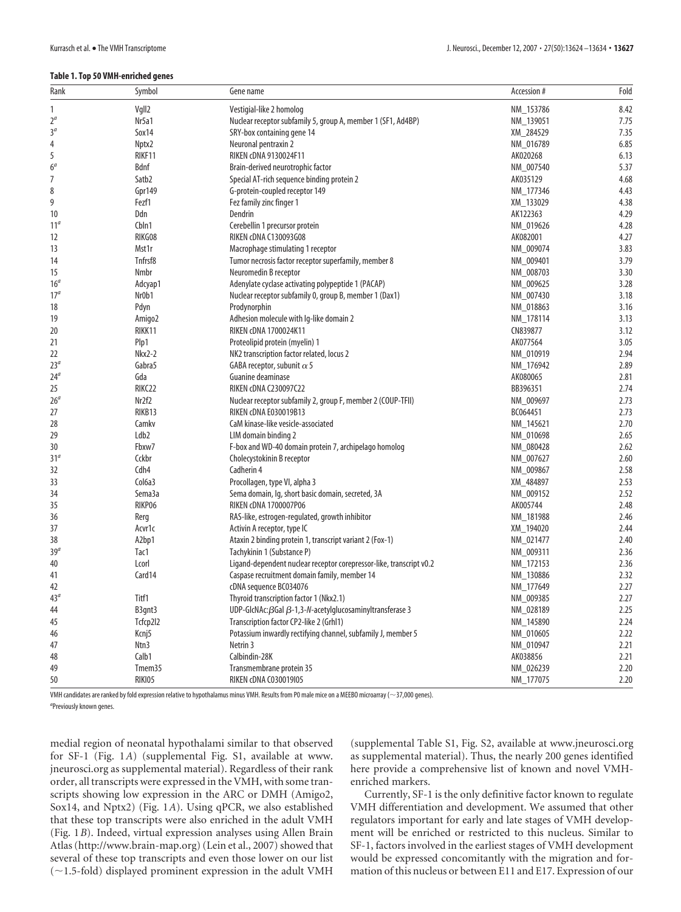#### **Table 1. Top 50 VMH-enriched genes**

| Rank            | Symbol              | Gene name                                                                                 | Accession # | Fold |
|-----------------|---------------------|-------------------------------------------------------------------------------------------|-------------|------|
| 1               | Vgll2               | Vestigial-like 2 homolog                                                                  | NM_153786   | 8.42 |
| $2^{\alpha}$    | Nr5a1               | Nuclear receptor subfamily 5, group A, member 1 (SF1, Ad4BP)                              | NM_139051   | 7.75 |
| 3 <sup>a</sup>  | Sox14               | SRY-box containing gene 14                                                                | XM_284529   | 7.35 |
| 4               | Nptx2               | Neuronal pentraxin 2                                                                      | NM 016789   | 6.85 |
| 5               | RIKF11              | RIKEN cDNA 9130024F11                                                                     | AK020268    | 6.13 |
| 6 <sup>a</sup>  | Bdnf                | Brain-derived neurotrophic factor                                                         | NM_007540   | 5.37 |
| 7               | Satb <sub>2</sub>   | Special AT-rich sequence binding protein 2                                                | AK035129    | 4.68 |
| 8               | Gpr149              | G-protein-coupled receptor 149                                                            | NM_177346   | 4.43 |
| 9               | Fezf1               | Fez family zinc finger 1                                                                  | XM_133029   | 4.38 |
| 10              | Ddn                 | Dendrin                                                                                   | AK122363    | 4.29 |
| 11 <sup>a</sup> | Cbln1               | Cerebellin 1 precursor protein                                                            | NM_019626   | 4.28 |
| 12              | RIKG08              | RIKEN cDNA C130093G08                                                                     | AK082001    | 4.27 |
| 13              | Mst1r               |                                                                                           | NM 009074   | 3.83 |
| 14              | Tnfrsf8             | Macrophage stimulating 1 receptor<br>Tumor necrosis factor receptor superfamily, member 8 | NM_009401   | 3.79 |
| 15              | Nmbr                | Neuromedin B receptor                                                                     | NM 008703   | 3.30 |
|                 |                     |                                                                                           |             |      |
| 16 <sup>a</sup> | Adcyap1             | Adenylate cyclase activating polypeptide 1 (PACAP)                                        | NM_009625   | 3.28 |
| 17 <sup>a</sup> | Nr0b1               | Nuclear receptor subfamily 0, group B, member 1 (Dax1)                                    | NM_007430   | 3.18 |
| 18              | Pdyn                | Prodynorphin                                                                              | NM_018863   | 3.16 |
| 19              | Amigo2              | Adhesion molecule with Ig-like domain 2                                                   | NM 178114   | 3.13 |
| 20              | RIKK11              | RIKEN cDNA 1700024K11                                                                     | CN839877    | 3.12 |
| 21              | Plp1                | Proteolipid protein (myelin) 1                                                            | AK077564    | 3.05 |
| 22              | <b>Nkx2-2</b>       | NK2 transcription factor related, locus 2                                                 | NM_010919   | 2.94 |
| 23 <sup>a</sup> | Gabra5              | GABA receptor, subunit $\alpha$ 5                                                         | NM_176942   | 2.89 |
| 24 <sup>a</sup> | Gda                 | Guanine deaminase                                                                         | AK080065    | 2.81 |
| 25              | RIKC22              | <b>RIKEN cDNA C230097C22</b>                                                              | BB396351    | 2.74 |
| 26 <sup>a</sup> | Nr2f2               | Nuclear receptor subfamily 2, group F, member 2 (COUP-TFII)                               | NM_009697   | 2.73 |
| 27              | RIKB13              | RIKEN cDNA E030019B13                                                                     | BC064451    | 2.73 |
| 28              | Camky               | CaM kinase-like vesicle-associated                                                        | NM_145621   | 2.70 |
| 29              | Ldb <sub>2</sub>    | LIM domain binding 2                                                                      | NM_010698   | 2.65 |
| 30              | Fbxw7               | F-box and WD-40 domain protein 7, archipelago homolog                                     | NM_080428   | 2.62 |
| 31 <sup>a</sup> | Cckbr               | Cholecystokinin B receptor                                                                | NM 007627   | 2.60 |
| 32              | Cdh <sub>4</sub>    | Cadherin 4                                                                                | NM_009867   | 2.58 |
| 33              | Col <sub>6</sub> a3 | Procollagen, type VI, alpha 3                                                             | XM_484897   | 2.53 |
| 34              | Sema3a              | Sema domain, Iq, short basic domain, secreted, 3A                                         | NM_009152   | 2.52 |
| 35              | RIKP06              | RIKEN cDNA 1700007P06                                                                     | AK005744    | 2.48 |
| 36              | Rerg                | RAS-like, estrogen-regulated, growth inhibitor                                            | NM 181988   | 2.46 |
| 37              | Acvr1c              | Activin A receptor, type IC                                                               | XM_194020   | 2.44 |
| 38              | A2bp1               | Ataxin 2 binding protein 1, transcript variant 2 (Fox-1)                                  | NM_021477   | 2.40 |
| 39 <sup>a</sup> | Tac1                | Tachykinin 1 (Substance P)                                                                | NM_009311   | 2.36 |
| 40              | Lcorl               | Ligand-dependent nuclear receptor corepressor-like, transcript v0.2                       | NM 172153   | 2.36 |
| 41              | Card14              | Caspase recruitment domain family, member 14                                              | NM_130886   | 2.32 |
| 42              |                     | cDNA sequence BC034076                                                                    | NM_177649   | 2.27 |
| 43 <sup>a</sup> | Titf1               | Thyroid transcription factor 1 (Nkx2.1)                                                   | NM_009385   | 2.27 |
| 44              | B3qnt3              | UDP-GlcNAc: $\beta$ Gal $\beta$ -1,3-N-acetylglucosaminyltransferase 3                    | NM_028189   | 2.25 |
| 45              | Tcfcp2l2            | Transcription factor CP2-like 2 (Grhl1)                                                   | NM_145890   | 2.24 |
| 46              | Kcnj5               | Potassium inwardly rectifying channel, subfamily J, member 5                              | NM 010605   | 2.22 |
| 47              | Ntn3                | Netrin 3                                                                                  | NM_010947   | 2.21 |
| 48              | Calb1               | Calbindin-28K                                                                             | AK038856    | 2.21 |
| 49              | Tmem35              | Transmembrane protein 35                                                                  | NM 026239   | 2.20 |
| 50              | RIKI05              | RIKEN cDNA C030019I05                                                                     | NM_177075   | 2.20 |
|                 |                     |                                                                                           |             |      |

VMH candidates are ranked by fold expression relative to hypothalamus minus VMH. Results from P0 male mice on a MEEBO microarray (~37,000 genes).

*a* Previously known genes.

medial region of neonatal hypothalami similar to that observed for SF-1 (Fig. 1*A*) (supplemental Fig. S1, available at www. jneurosci.org as supplemental material). Regardless of their rank order, all transcripts were expressed in the VMH, with some transcripts showing low expression in the ARC or DMH (Amigo2, Sox14, and Nptx2) (Fig. 1*A*). Using qPCR, we also established that these top transcripts were also enriched in the adult VMH (Fig. 1*B*). Indeed, virtual expression analyses using Allen Brain Atlas (http://www.brain-map.org) (Lein et al., 2007) showed that several of these top transcripts and even those lower on our list  $(-1.5-fold)$  displayed prominent expression in the adult VMH

(supplemental Table S1, Fig. S2, available at www.jneurosci.org as supplemental material). Thus, the nearly 200 genes identified here provide a comprehensive list of known and novel VMHenriched markers.

Currently, SF-1 is the only definitive factor known to regulate VMH differentiation and development. We assumed that other regulators important for early and late stages of VMH development will be enriched or restricted to this nucleus. Similar to SF-1, factors involved in the earliest stages of VMH development would be expressed concomitantly with the migration and formation of this nucleus or between E11 and E17. Expression of our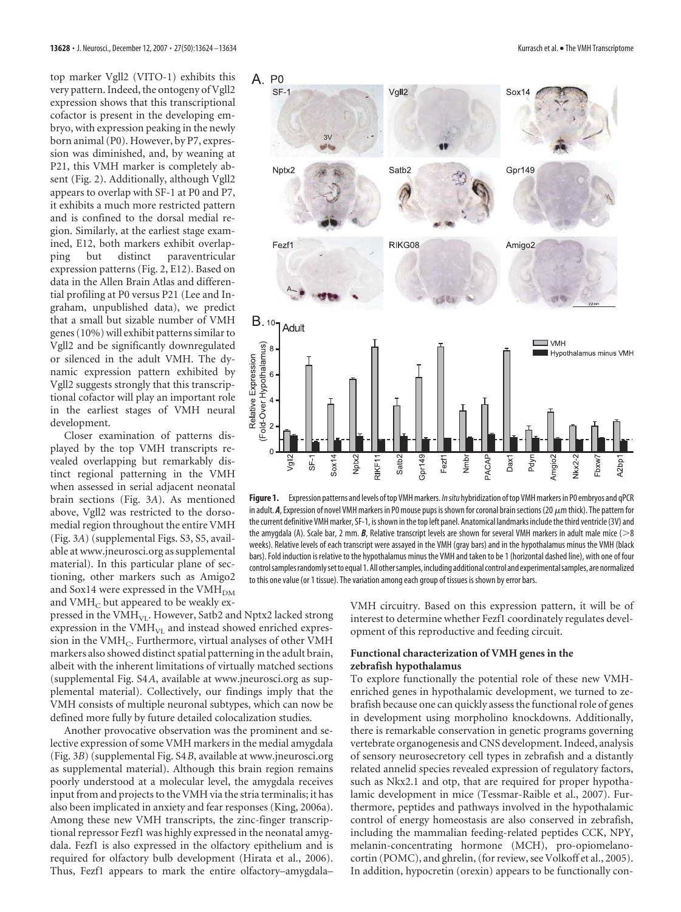top marker Vgll2 (VITO-1) exhibits this very pattern. Indeed, the ontogeny of Vgll2 expression shows that this transcriptional cofactor is present in the developing embryo, with expression peaking in the newly born animal (P0). However, by P7, expression was diminished, and, by weaning at P21, this VMH marker is completely absent (Fig. 2). Additionally, although Vgll2 appears to overlap with SF-1 at P0 and P7, it exhibits a much more restricted pattern and is confined to the dorsal medial region. Similarly, at the earliest stage examined, E12, both markers exhibit overlap-<br>ping but distinct paraventricular ping but distinct paraventricular expression patterns (Fig. 2, E12). Based on data in the Allen Brain Atlas and differential profiling at P0 versus P21 (Lee and Ingraham, unpublished data), we predict that a small but sizable number of VMH genes (10%) will exhibit patterns similar to Vgll2 and be significantly downregulated or silenced in the adult VMH. The dynamic expression pattern exhibited by Vgll2 suggests strongly that this transcriptional cofactor will play an important role in the earliest stages of VMH neural development.

Closer examination of patterns displayed by the top VMH transcripts revealed overlapping but remarkably distinct regional patterning in the VMH when assessed in serial adjacent neonatal brain sections (Fig. 3*A*). As mentioned above, Vgll2 was restricted to the dorsomedial region throughout the entire VMH (Fig. 3*A*) (supplemental Figs. S3, S5, available at www.jneurosci.org as supplemental material). In this particular plane of sectioning, other markers such as Amigo2 and Sox14 were expressed in the  $VMH<sub>DM</sub>$ and VMH<sub>C</sub> but appeared to be weakly ex-



**Figure 1.** Expression patterns and levels oftop VMHmarkers. *Insitu* hybridization oftop VMHmarkers in P0 embryos and qPCR in adult. A, Expression of novel VMH markers in P0 mouse pups is shown for coronal brain sections (20  $\mu$ m thick). The pattern for the current definitive VMH marker, SF-1, isshown in the top left panel. Anatomical landmarks include the third ventricle (3V) and the amygdala (A). Scale bar, 2 mm. *B*, Relative transcript levels are shown for several VMH markers in adult male mice (>8 weeks). Relative levels of each transcript were assayed in the VMH (gray bars) and in the hypothalamus minus the VMH (black bars). Fold induction is relative to the hypothalamus minus the VMH and taken to be 1 (horizontal dashed line), with one of four controlsamplesrandomlysetto equal 1.All othersamples, including additional control and experimentalsamples, are normalized to this one value (or 1 tissue). The variation among each group of tissues is shown by error bars.

pressed in the VMH<sub>VL</sub>. However, Satb2 and Nptx2 lacked strong expression in the  $VMH<sub>VL</sub>$  and instead showed enriched expression in the  $VMH<sub>C</sub>$ . Furthermore, virtual analyses of other  $VMH$ markers also showed distinct spatial patterning in the adult brain, albeit with the inherent limitations of virtually matched sections (supplemental Fig. S4*A*, available at www.jneurosci.org as supplemental material). Collectively, our findings imply that the VMH consists of multiple neuronal subtypes, which can now be defined more fully by future detailed colocalization studies.

Another provocative observation was the prominent and selective expression of some VMH markers in the medial amygdala (Fig. 3*B*) (supplemental Fig. S4*B*, available at www.jneurosci.org as supplemental material). Although this brain region remains poorly understood at a molecular level, the amygdala receives input from and projects to the VMH via the stria terminalis; it has also been implicated in anxiety and fear responses (King, 2006a). Among these new VMH transcripts, the zinc-finger transcriptional repressor Fezf1 was highly expressed in the neonatal amygdala. Fezf1 is also expressed in the olfactory epithelium and is required for olfactory bulb development (Hirata et al., 2006). Thus, Fezf1 appears to mark the entire olfactory–amygdala–

VMH circuitry. Based on this expression pattern, it will be of interest to determine whether Fezf1 coordinately regulates development of this reproductive and feeding circuit.

# **Functional characterization of VMH genes in the zebrafish hypothalamus**

To explore functionally the potential role of these new VMHenriched genes in hypothalamic development, we turned to zebrafish because one can quickly assess the functional role of genes in development using morpholino knockdowns. Additionally, there is remarkable conservation in genetic programs governing vertebrate organogenesis and CNS development. Indeed, analysis of sensory neurosecretory cell types in zebrafish and a distantly related annelid species revealed expression of regulatory factors, such as Nkx2.1 and otp, that are required for proper hypothalamic development in mice (Tessmar-Raible et al., 2007). Furthermore, peptides and pathways involved in the hypothalamic control of energy homeostasis are also conserved in zebrafish, including the mammalian feeding-related peptides CCK, NPY, melanin-concentrating hormone (MCH), pro-opiomelanocortin (POMC), and ghrelin, (for review, see Volkoff et al., 2005). In addition, hypocretin (orexin) appears to be functionally con-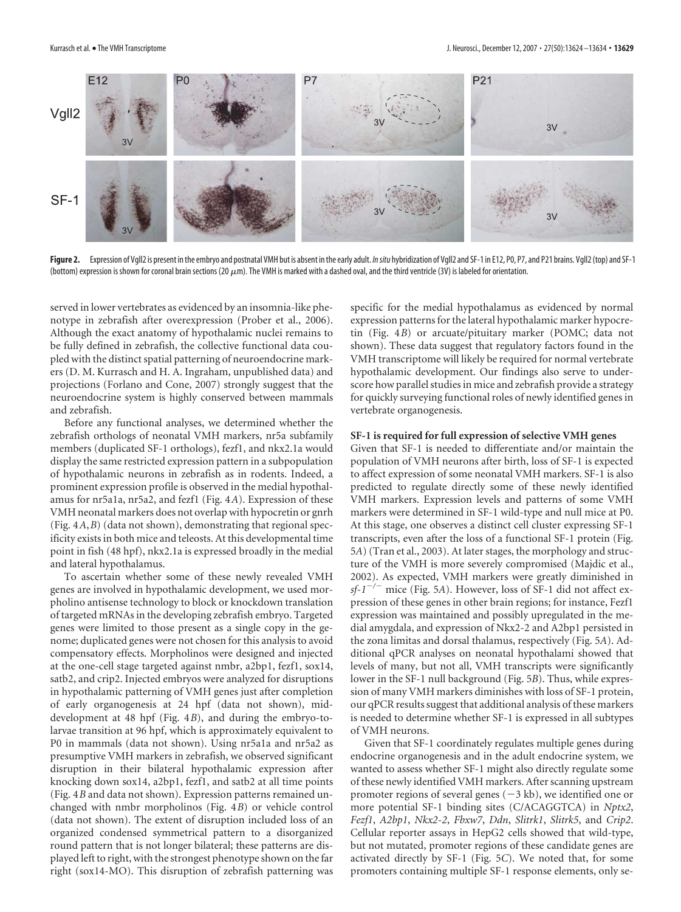

Figure 2. Expression of Vgll2 is present in the embryo and postnatal VMH but is absent in the early adult. *In situ* hybridization of Vgll2 and SF-1 in E12, P0, P7, and P21 brains. Vgll2 (top) and SF-1 (bottom) expression is shown for coronal brain sections (20  $\mu$ m). The VMH is marked with a dashed oval, and the third ventricle (3V) is labeled for orientation.

served in lower vertebrates as evidenced by an insomnia-like phenotype in zebrafish after overexpression (Prober et al., 2006). Although the exact anatomy of hypothalamic nuclei remains to be fully defined in zebrafish, the collective functional data coupled with the distinct spatial patterning of neuroendocrine markers (D. M. Kurrasch and H. A. Ingraham, unpublished data) and projections (Forlano and Cone, 2007) strongly suggest that the neuroendocrine system is highly conserved between mammals and zebrafish.

Before any functional analyses, we determined whether the zebrafish orthologs of neonatal VMH markers, nr5a subfamily members (duplicated SF-1 orthologs), fezf1, and nkx2.1a would display the same restricted expression pattern in a subpopulation of hypothalamic neurons in zebrafish as in rodents. Indeed, a prominent expression profile is observed in the medial hypothalamus for nr5a1a, nr5a2, and fezf1 (Fig. 4*A*). Expression of these VMH neonatal markers does not overlap with hypocretin or gnrh (Fig. 4*A*,*B*) (data not shown), demonstrating that regional specificity exists in both mice and teleosts. At this developmental time point in fish (48 hpf), nkx2.1a is expressed broadly in the medial and lateral hypothalamus.

To ascertain whether some of these newly revealed VMH genes are involved in hypothalamic development, we used morpholino antisense technology to block or knockdown translation of targeted mRNAs in the developing zebrafish embryo. Targeted genes were limited to those present as a single copy in the genome; duplicated genes were not chosen for this analysis to avoid compensatory effects. Morpholinos were designed and injected at the one-cell stage targeted against nmbr, a2bp1, fezf1, sox14, satb2, and crip2. Injected embryos were analyzed for disruptions in hypothalamic patterning of VMH genes just after completion of early organogenesis at 24 hpf (data not shown), middevelopment at 48 hpf (Fig. 4*B*), and during the embryo-tolarvae transition at 96 hpf, which is approximately equivalent to P0 in mammals (data not shown). Using nr5a1a and nr5a2 as presumptive VMH markers in zebrafish, we observed significant disruption in their bilateral hypothalamic expression after knocking down sox14, a2bp1, fezf1, and satb2 at all time points (Fig. 4*B* and data not shown). Expression patterns remained unchanged with nmbr morpholinos (Fig. 4*B*) or vehicle control (data not shown). The extent of disruption included loss of an organized condensed symmetrical pattern to a disorganized round pattern that is not longer bilateral; these patterns are displayed left to right, with the strongest phenotype shown on the far right (sox14-MO). This disruption of zebrafish patterning was

specific for the medial hypothalamus as evidenced by normal expression patterns for the lateral hypothalamic marker hypocretin (Fig. 4*B*) or arcuate/pituitary marker (POMC; data not shown). These data suggest that regulatory factors found in the VMH transcriptome will likely be required for normal vertebrate hypothalamic development. Our findings also serve to underscore how parallel studies in mice and zebrafish provide a strategy for quickly surveying functional roles of newly identified genes in vertebrate organogenesis.

#### **SF-1 is required for full expression of selective VMH genes**

Given that SF-1 is needed to differentiate and/or maintain the population of VMH neurons after birth, loss of SF-1 is expected to affect expression of some neonatal VMH markers. SF-1 is also predicted to regulate directly some of these newly identified VMH markers. Expression levels and patterns of some VMH markers were determined in SF-1 wild-type and null mice at P0. At this stage, one observes a distinct cell cluster expressing SF-1 transcripts, even after the loss of a functional SF-1 protein (Fig. 5*A*) (Tran et al., 2003). At later stages, the morphology and structure of the VMH is more severely compromised (Majdic et al., 2002). As expected, VMH markers were greatly diminished in  $sf-1$ <sup>-/-</sup> mice (Fig. 5*A*). However, loss of SF-1 did not affect expression of these genes in other brain regions; for instance, Fezf1 expression was maintained and possibly upregulated in the medial amygdala, and expression of Nkx2-2 and A2bp1 persisted in the zona limitas and dorsal thalamus, respectively (Fig. 5*A*). Additional qPCR analyses on neonatal hypothalami showed that levels of many, but not all, VMH transcripts were significantly lower in the SF-1 null background (Fig. 5*B*). Thus, while expression of many VMH markers diminishes with loss of SF-1 protein, our qPCR results suggest that additional analysis of these markers is needed to determine whether SF-1 is expressed in all subtypes of VMH neurons.

Given that SF-1 coordinately regulates multiple genes during endocrine organogenesis and in the adult endocrine system, we wanted to assess whether SF-1 might also directly regulate some of these newly identified VMH markers. After scanning upstream promoter regions of several genes  $(-3 \text{ kb})$ , we identified one or more potential SF-1 binding sites (C/ACAGGTCA) in *Nptx2*, *Fezf1*, *A2bp1*, *Nkx2-2*, *Fbxw7*, *Ddn*, *Slitrk1*, *Slitrk5*, and *Crip2*. Cellular reporter assays in HepG2 cells showed that wild-type, but not mutated, promoter regions of these candidate genes are activated directly by SF-1 (Fig. 5*C*). We noted that, for some promoters containing multiple SF-1 response elements, only se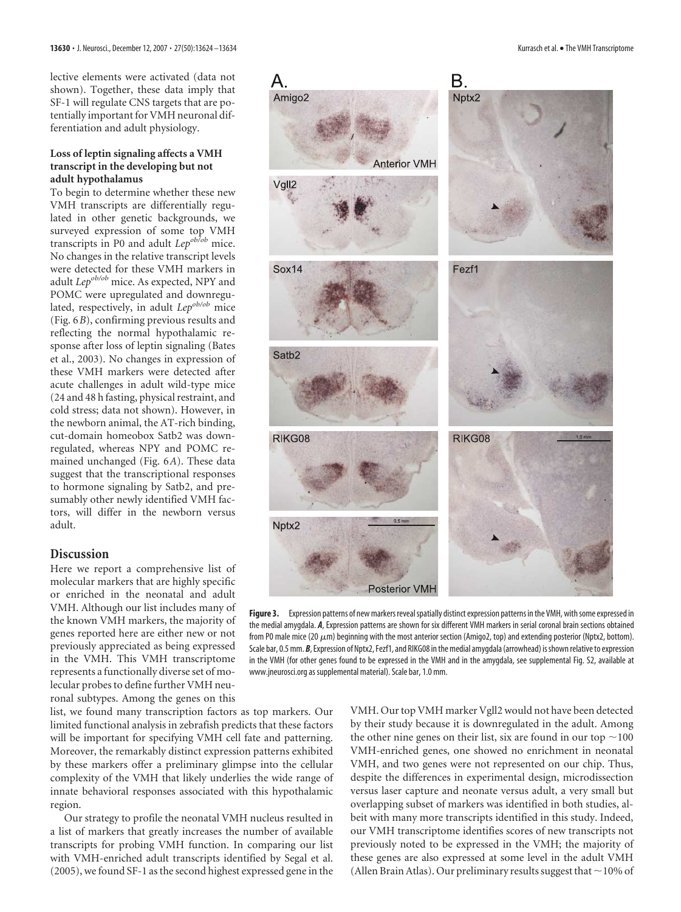lective elements were activated (data not shown). Together, these data imply that SF-1 will regulate CNS targets that are potentially important for VMH neuronal differentiation and adult physiology.

#### **Loss of leptin signaling affects a VMH transcript in the developing but not adult hypothalamus**

To begin to determine whether these new VMH transcripts are differentially regulated in other genetic backgrounds, we surveyed expression of some top VMH transcripts in P0 and adult *Lepob/ob* mice. No changes in the relative transcript levels were detected for these VMH markers in adult *Lep<sup>ob/ob</sup>* mice. As expected, NPY and POMC were upregulated and downregulated, respectively, in adult *Lepob/ob* mice (Fig. 6*B*), confirming previous results and reflecting the normal hypothalamic response after loss of leptin signaling (Bates et al., 2003). No changes in expression of these VMH markers were detected after acute challenges in adult wild-type mice (24 and 48 h fasting, physical restraint, and cold stress; data not shown). However, in the newborn animal, the AT-rich binding, cut-domain homeobox Satb2 was downregulated, whereas NPY and POMC remained unchanged (Fig. 6*A*). These data suggest that the transcriptional responses to hormone signaling by Satb2, and presumably other newly identified VMH factors, will differ in the newborn versus adult.

## **Discussion**

Here we report a comprehensive list of molecular markers that are highly specific or enriched in the neonatal and adult VMH. Although our list includes many of the known VMH markers, the majority of genes reported here are either new or not previously appreciated as being expressed in the VMH. This VMH transcriptome represents a functionally diverse set of molecular probes to define further VMH neuronal subtypes. Among the genes on this

list, we found many transcription factors as top markers. Our limited functional analysis in zebrafish predicts that these factors will be important for specifying VMH cell fate and patterning. Moreover, the remarkably distinct expression patterns exhibited by these markers offer a preliminary glimpse into the cellular complexity of the VMH that likely underlies the wide range of innate behavioral responses associated with this hypothalamic region.

Our strategy to profile the neonatal VMH nucleus resulted in a list of markers that greatly increases the number of available transcripts for probing VMH function. In comparing our list with VMH-enriched adult transcripts identified by Segal et al. (2005), we found SF-1 as the second highest expressed gene in the



Figure 3. Expression patterns of new markers reveal spatially distinct expression patterns in the VMH, with some expressed in the medial amygdala. *A*, Expression patterns are shown for six different VMH markers in serial coronal brain sections obtained from P0 male mice (20  $\mu$ m) beginning with the most anterior section (Amigo2, top) and extending posterior (Nptx2, bottom). Scale bar, 0.5 mm. *B*, Expression of Nptx2, Fezf1, and RIKG08 in the medial amygdala (arrowhead) is shown relative to expression in the VMH (for other genes found to be expressed in the VMH and in the amygdala, see supplemental Fig. S2, available at www.jneurosci.org as supplemental material). Scale bar, 1.0 mm.

VMH. Our top VMH marker Vgll2 would not have been detected by their study because it is downregulated in the adult. Among the other nine genes on their list, six are found in our top  $\sim$  100 VMH-enriched genes, one showed no enrichment in neonatal VMH, and two genes were not represented on our chip. Thus, despite the differences in experimental design, microdissection versus laser capture and neonate versus adult, a very small but overlapping subset of markers was identified in both studies, albeit with many more transcripts identified in this study. Indeed, our VMH transcriptome identifies scores of new transcripts not previously noted to be expressed in the VMH; the majority of these genes are also expressed at some level in the adult VMH (Allen Brain Atlas). Our preliminary results suggest that  $\sim$  10% of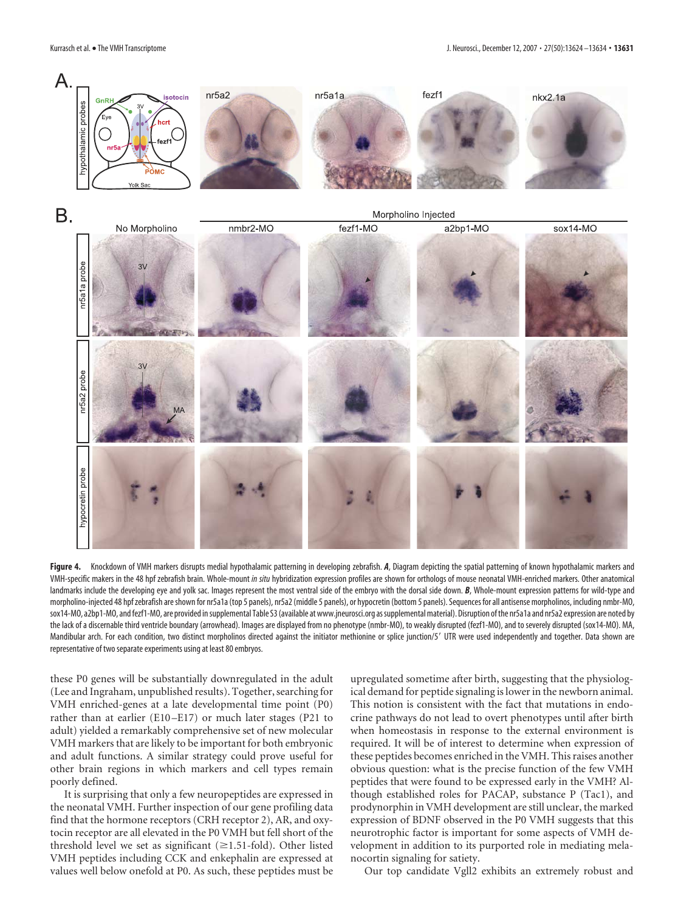

Figure 4. Knockdown of VMH markers disrupts medial hypothalamic patterning in developing zebrafish. *A*, Diagram depicting the spatial patterning of known hypothalamic markers and VMH-specific makers in the 48 hpf zebrafish brain. Whole-mount *in situ* hybridization expression profiles are shown for orthologs of mouse neonatal VMH-enriched markers. Other anatomical landmarks include the developing eye and yolk sac. Images represent the most ventral side of the embryo with the dorsal side down. *B*, Whole-mount expression patterns for wild-type and morpholino-injected 48 hpf zebrafish are shown for nr5a1a (top 5 panels), nr5a2 (middle 5 panels), or hypocretin (bottom 5 panels). Sequences for all antisense morpholinos, including nmbr-MO, sox14-MO, a2bp1-MO, and fezf1-MO, are provided insupplemental Table S3(available at www.jneurosci.org assupplementalmaterial). Disruption ofthe nr5a1a and nr5a2 expression are noted by the lack of a discernable third ventricle boundary (arrowhead). Images are displayed from no phenotype (nmbr-MO), to weakly disrupted (fezf1-MO), and to severely disrupted (sox14-MO). MA, Mandibular arch. For each condition, two distinct morpholinos directed against the initiator methionine or splice junction/5' UTR were used independently and together. Data shown are representative of two separate experiments using at least 80 embryos.

these P0 genes will be substantially downregulated in the adult (Lee and Ingraham, unpublished results). Together, searching for VMH enriched-genes at a late developmental time point (P0) rather than at earlier (E10 –E17) or much later stages (P21 to adult) yielded a remarkably comprehensive set of new molecular VMH markers that are likely to be important for both embryonic and adult functions. A similar strategy could prove useful for other brain regions in which markers and cell types remain poorly defined.

It is surprising that only a few neuropeptides are expressed in the neonatal VMH. Further inspection of our gene profiling data find that the hormone receptors (CRH receptor 2), AR, and oxytocin receptor are all elevated in the P0 VMH but fell short of the threshold level we set as significant  $(\geq 1.51\text{-fold})$ . Other listed VMH peptides including CCK and enkephalin are expressed at values well below onefold at P0. As such, these peptides must be

upregulated sometime after birth, suggesting that the physiological demand for peptide signaling is lower in the newborn animal. This notion is consistent with the fact that mutations in endocrine pathways do not lead to overt phenotypes until after birth when homeostasis in response to the external environment is required. It will be of interest to determine when expression of these peptides becomes enriched in the VMH. This raises another obvious question: what is the precise function of the few VMH peptides that were found to be expressed early in the VMH? Although established roles for PACAP, substance P (Tac1), and prodynorphin in VMH development are still unclear, the marked expression of BDNF observed in the P0 VMH suggests that this neurotrophic factor is important for some aspects of VMH development in addition to its purported role in mediating melanocortin signaling for satiety.

Our top candidate Vgll2 exhibits an extremely robust and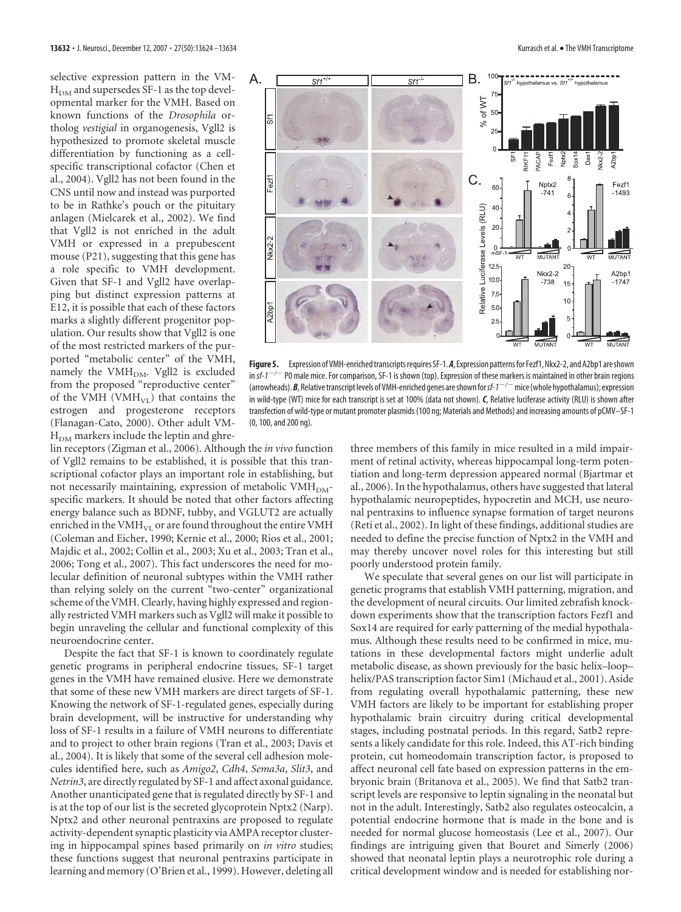selective expression pattern in the VM- $H<sub>DM</sub>$  and supersedes SF-1 as the top developmental marker for the VMH. Based on known functions of the *Drosophila* ortholog *vestigial* in organogenesis, Vgll2 is hypothesized to promote skeletal muscle differentiation by functioning as a cellspecific transcriptional cofactor (Chen et al., 2004). Vgll2 has not been found in the CNS until now and instead was purported to be in Rathke's pouch or the pituitary anlagen (Mielcarek et al., 2002). We find that Vgll2 is not enriched in the adult VMH or expressed in a prepubescent mouse (P21), suggesting that this gene has a role specific to VMH development. Given that SF-1 and Vgll2 have overlapping but distinct expression patterns at E12, it is possible that each of these factors marks a slightly different progenitor population. Our results show that Vgll2 is one of the most restricted markers of the purported "metabolic center" of the VMH, namely the VMH<sub>DM</sub>. Vgll2 is excluded from the proposed "reproductive center" of the VMH (VMH $_{VI}$ ) that contains the estrogen and progesterone receptors (Flanagan-Cato, 2000). Other adult VM- $H<sub>DM</sub>$  markers include the leptin and ghre-



**Figure 5.** Expression of VMH-enriched transcripts requires SF-1.A, Expression patterns for Fezf1, Nkx2-2, and A2bp1 are shown<br>in sf-1<sup>-/-</sup> P0 male mice. For comparison, SF-1 is shown (top). Expression of these markers is in *sf-1/* P0 male mice. For comparison, SF-1 is shown (top). Expression of these markers is maintained in other brain regions (arrowheads). **B**, Relative transcript levels of VMH-enriched genes are shown for sf-1<sup>-/-</sup> mice (whole hypothalamus); expression in wild-type (WT) mice for each transcript is set at 100% (data not shown). *C*, Relative luciferase activity (RLU) is shown after transfection of wild-type or mutant promoter plasmids (100 ng; Materials and Methods) and increasing amounts of pCMV–SF-1 (0, 100, and 200 ng).

lin receptors (Zigman et al., 2006). Although the *in vivo* function of Vgll2 remains to be established, it is possible that this transcriptional cofactor plays an important role in establishing, but not necessarily maintaining, expression of metabolic VMH<sub>DM</sub>specific markers. It should be noted that other factors affecting energy balance such as BDNF, tubby, and VGLUT2 are actually enriched in the  $VMH<sub>VI</sub>$  or are found throughout the entire  $VMH<sub>VI</sub>$ (Coleman and Eicher, 1990; Kernie et al., 2000; Rios et al., 2001; Majdic et al., 2002; Collin et al., 2003; Xu et al., 2003; Tran et al., 2006; Tong et al., 2007). This fact underscores the need for molecular definition of neuronal subtypes within the VMH rather than relying solely on the current "two-center" organizational scheme of the VMH. Clearly, having highly expressed and regionally restricted VMH markers such as Vgll2 will make it possible to begin unraveling the cellular and functional complexity of this neuroendocrine center.

Despite the fact that SF-1 is known to coordinately regulate genetic programs in peripheral endocrine tissues, SF-1 target genes in the VMH have remained elusive. Here we demonstrate that some of these new VMH markers are direct targets of SF-1. Knowing the network of SF-1-regulated genes, especially during brain development, will be instructive for understanding why loss of SF-1 results in a failure of VMH neurons to differentiate and to project to other brain regions (Tran et al., 2003; Davis et al., 2004). It is likely that some of the several cell adhesion molecules identified here, such as *Amigo2*, *Cdh4*, *Sema3a*, *Slit3*, and *Netrin3*, are directly regulated by SF-1 and affect axonal guidance. Another unanticipated gene that is regulated directly by SF-1 and is at the top of our list is the secreted glycoprotein Nptx2 (Narp). Nptx2 and other neuronal pentraxins are proposed to regulate activity-dependent synaptic plasticity via AMPA receptor clustering in hippocampal spines based primarily on *in vitro* studies; these functions suggest that neuronal pentraxins participate in learning and memory (O'Brien et al., 1999). However, deleting all

three members of this family in mice resulted in a mild impairment of retinal activity, whereas hippocampal long-term potentiation and long-term depression appeared normal (Bjartmar et al., 2006). In the hypothalamus, others have suggested that lateral hypothalamic neuropeptides, hypocretin and MCH, use neuronal pentraxins to influence synapse formation of target neurons (Reti et al., 2002). In light of these findings, additional studies are needed to define the precise function of Nptx2 in the VMH and may thereby uncover novel roles for this interesting but still poorly understood protein family.

We speculate that several genes on our list will participate in genetic programs that establish VMH patterning, migration, and the development of neural circuits. Our limited zebrafish knockdown experiments show that the transcription factors Fezf1 and Sox14 are required for early patterning of the medial hypothalamus. Although these results need to be confirmed in mice, mutations in these developmental factors might underlie adult metabolic disease, as shown previously for the basic helix–loop– helix/PAS transcription factor Sim1 (Michaud et al., 2001). Aside from regulating overall hypothalamic patterning, these new VMH factors are likely to be important for establishing proper hypothalamic brain circuitry during critical developmental stages, including postnatal periods. In this regard, Satb2 represents a likely candidate for this role. Indeed, this AT-rich binding protein, cut homeodomain transcription factor, is proposed to affect neuronal cell fate based on expression patterns in the embryonic brain (Britanova et al., 2005). We find that Satb2 transcript levels are responsive to leptin signaling in the neonatal but not in the adult. Interestingly, Satb2 also regulates osteocalcin, a potential endocrine hormone that is made in the bone and is needed for normal glucose homeostasis (Lee et al., 2007). Our findings are intriguing given that Bouret and Simerly (2006) showed that neonatal leptin plays a neurotrophic role during a critical development window and is needed for establishing nor-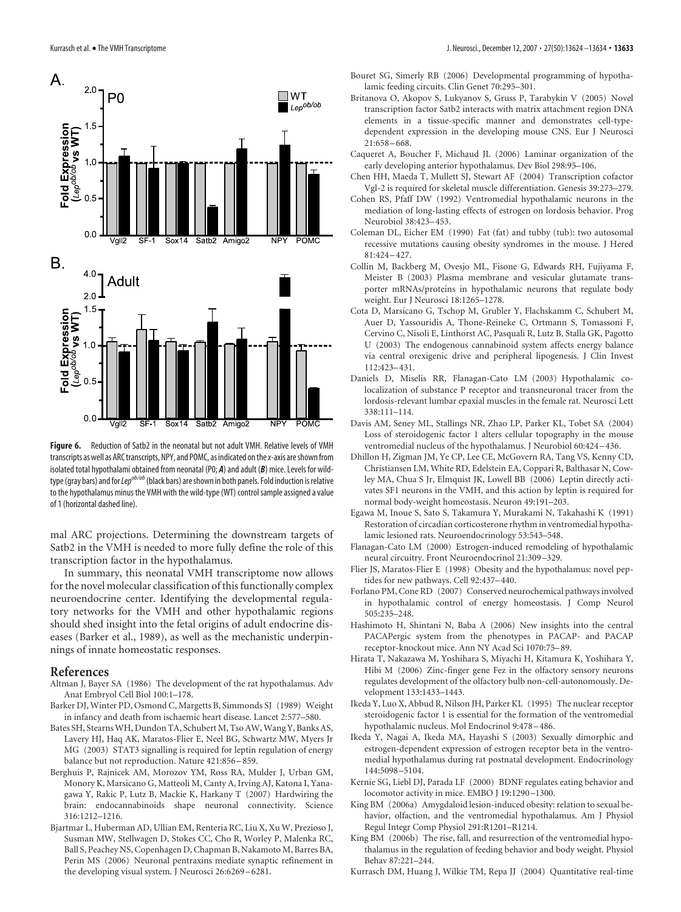![](_page_9_Figure_1.jpeg)

**Figure 6.** Reduction of Satb2 in the neonatal but not adult VMH. Relative levels of VMH transcripts as well as ARC transcripts, NPY, and POMC, as indicated on the *x*-axis are shown from isolated total hypothalami obtained from neonatal (P0; *A*) and adult (*B*) mice. Levels for wildtype (gray bars) and for *Lep<sup>ob/ob</sup>* (black bars) are shown in both panels. Fold induction is relative to the hypothalamus minus the VMH with the wild-type (WT) control sample assigned a value of 1 (horizontal dashed line).

mal ARC projections. Determining the downstream targets of Satb2 in the VMH is needed to more fully define the role of this transcription factor in the hypothalamus.

In summary, this neonatal VMH transcriptome now allows for the novel molecular classification of this functionally complex neuroendocrine center. Identifying the developmental regulatory networks for the VMH and other hypothalamic regions should shed insight into the fetal origins of adult endocrine diseases (Barker et al., 1989), as well as the mechanistic underpinnings of innate homeostatic responses.

#### **References**

- Altman J, Bayer SA (1986) The development of the rat hypothalamus. Adv Anat Embryol Cell Biol 100:1–178.
- Barker DJ, Winter PD, Osmond C, Margetts B, Simmonds SJ (1989) Weight in infancy and death from ischaemic heart disease. Lancet 2:577–580.
- Bates SH, Stearns WH, Dundon TA, Schubert M, Tso AW, Wang Y, Banks AS, Lavery HJ, Haq AK, Maratos-Flier E, Neel BG, Schwartz MW, Myers Jr MG (2003) STAT3 signalling is required for leptin regulation of energy balance but not reproduction. Nature 421:856 –859.
- Berghuis P, Rajnicek AM, Morozov YM, Ross RA, Mulder J, Urban GM, Monory K, Marsicano G, Matteoli M, Canty A, Irving AJ, Katona I, Yanagawa Y, Rakic P, Lutz B, Mackie K, Harkany T (2007) Hardwiring the brain: endocannabinoids shape neuronal connectivity. Science 316:1212–1216.
- Bjartmar L, Huberman AD, Ullian EM, Renteria RC, Liu X, Xu W, Prezioso J, Susman MW, Stellwagen D, Stokes CC, Cho R, Worley P, Malenka RC, Ball S, Peachey NS, Copenhagen D, Chapman B, Nakamoto M, Barres BA, Perin MS (2006) Neuronal pentraxins mediate synaptic refinement in the developing visual system. J Neurosci 26:6269 –6281.
- Bouret SG, Simerly RB (2006) Developmental programming of hypothalamic feeding circuits. Clin Genet 70:295–301.
- Britanova O, Akopov S, Lukyanov S, Gruss P, Tarabykin V (2005) Novel transcription factor Satb2 interacts with matrix attachment region DNA elements in a tissue-specific manner and demonstrates cell-typedependent expression in the developing mouse CNS. Eur J Neurosci 21:658 –668.
- Caqueret A, Boucher F, Michaud JL (2006) Laminar organization of the early developing anterior hypothalamus. Dev Biol 298:95–106.
- Chen HH, Maeda T, Mullett SJ, Stewart AF (2004) Transcription cofactor Vgl-2 is required for skeletal muscle differentiation. Genesis 39:273–279.
- Cohen RS, Pfaff DW (1992) Ventromedial hypothalamic neurons in the mediation of long-lasting effects of estrogen on lordosis behavior. Prog Neurobiol 38:423–453.
- Coleman DL, Eicher EM (1990) Fat (fat) and tubby (tub): two autosomal recessive mutations causing obesity syndromes in the mouse. J Hered 81:424 –427.
- Collin M, Backberg M, Ovesjo ML, Fisone G, Edwards RH, Fujiyama F, Meister B (2003) Plasma membrane and vesicular glutamate transporter mRNAs/proteins in hypothalamic neurons that regulate body weight. Eur J Neurosci 18:1265–1278.
- Cota D, Marsicano G, Tschop M, Grubler Y, Flachskamm C, Schubert M, Auer D, Yassouridis A, Thone-Reineke C, Ortmann S, Tomassoni F, Cervino C, Nisoli E, Linthorst AC, Pasquali R, Lutz B, Stalla GK, Pagotto U (2003) The endogenous cannabinoid system affects energy balance via central orexigenic drive and peripheral lipogenesis. J Clin Invest 112:423–431.
- Daniels D, Miselis RR, Flanagan-Cato LM (2003) Hypothalamic colocalization of substance P receptor and transneuronal tracer from the lordosis-relevant lumbar epaxial muscles in the female rat. Neurosci Lett 338:111–114.
- Davis AM, Seney ML, Stallings NR, Zhao LP, Parker KL, Tobet SA (2004) Loss of steroidogenic factor 1 alters cellular topography in the mouse ventromedial nucleus of the hypothalamus. J Neurobiol 60:424 –436.
- Dhillon H, Zigman JM, Ye CP, Lee CE, McGovern RA, Tang VS, Kenny CD, Christiansen LM, White RD, Edelstein EA, Coppari R, Balthasar N, Cowley MA, Chua S Jr, Elmquist JK, Lowell BB (2006) Leptin directly activates SF1 neurons in the VMH, and this action by leptin is required for normal body-weight homeostasis. Neuron 49:191–203.
- Egawa M, Inoue S, Sato S, Takamura Y, Murakami N, Takahashi K (1991) Restoration of circadian corticosterone rhythm in ventromedial hypothalamic lesioned rats. Neuroendocrinology 53:543–548.
- Flanagan-Cato LM (2000) Estrogen-induced remodeling of hypothalamic neural circuitry. Front Neuroendocrinol 21:309 –329.
- Flier JS, Maratos-Flier E (1998) Obesity and the hypothalamus: novel peptides for new pathways. Cell 92:437–440.
- Forlano PM, Cone RD (2007) Conserved neurochemical pathways involved in hypothalamic control of energy homeostasis. J Comp Neurol 505:235–248.
- Hashimoto H, Shintani N, Baba A (2006) New insights into the central PACAPergic system from the phenotypes in PACAP- and PACAP receptor-knockout mice. Ann NY Acad Sci 1070:75–89.
- Hirata T, Nakazawa M, Yoshihara S, Miyachi H, Kitamura K, Yoshihara Y, Hibi M (2006) Zinc-finger gene Fez in the olfactory sensory neurons regulates development of the olfactory bulb non-cell-autonomously. Development 133:1433–1443.
- Ikeda Y, Luo X, Abbud R, Nilson JH, Parker KL (1995) The nuclear receptor steroidogenic factor 1 is essential for the formation of the ventromedial hypothalamic nucleus. Mol Endocrinol 9:478 –486.
- Ikeda Y, Nagai A, Ikeda MA, Hayashi S (2003) Sexually dimorphic and estrogen-dependent expression of estrogen receptor beta in the ventromedial hypothalamus during rat postnatal development. Endocrinology 144:5098 –5104.
- Kernie SG, Liebl DJ, Parada LF (2000) BDNF regulates eating behavior and locomotor activity in mice. EMBO J 19:1290 –1300.
- King BM (2006a) Amygdaloid lesion-induced obesity: relation to sexual behavior, olfaction, and the ventromedial hypothalamus. Am J Physiol Regul Integr Comp Physiol 291:R1201–R1214.
- King BM (2006b) The rise, fall, and resurrection of the ventromedial hypothalamus in the regulation of feeding behavior and body weight. Physiol Behav 87:221–244.
- Kurrasch DM, Huang J, Wilkie TM, Repa JJ (2004) Quantitative real-time